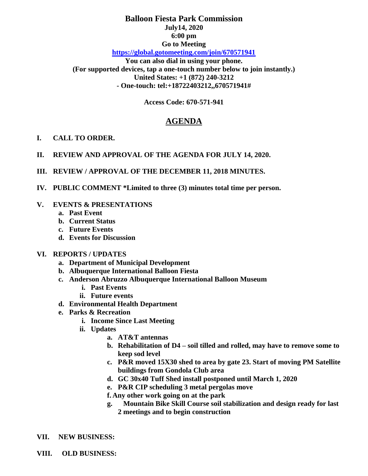## **Balloon Fiesta Park Commission July14, 2020 6:00 pm Go to Meeting <https://global.gotomeeting.com/join/670571941>**

**You can also dial in using your phone. (For supported devices, tap a one-touch number below to join instantly.) United States: +1 (872) 240-3212 - One-touch: tel:+18722403212,,670571941#**

**Access Code: 670-571-941**

# **AGENDA**

#### **I. CALL TO ORDER.**

- **II. REVIEW AND APPROVAL OF THE AGENDA FOR JULY 14, 2020.**
- **III. REVIEW / APPROVAL OF THE DECEMBER 11, 2018 MINUTES.**
- **IV. PUBLIC COMMENT \*Limited to three (3) minutes total time per person.**

#### **V. EVENTS & PRESENTATIONS**

- **a. Past Event**
- **b. Current Status**
- **c. Future Events**
- **d. Events for Discussion**

#### **VI. REPORTS / UPDATES**

- **a. Department of Municipal Development**
- **b. Albuquerque International Balloon Fiesta**
- **c. Anderson Abruzzo Albuquerque International Balloon Museum**
	- **i. Past Events**
	- **ii. Future events**
- **d. Environmental Health Department**
- **e. Parks & Recreation** 
	- **i. Income Since Last Meeting**
	- **ii. Updates**
		- **a. AT&T antennas**
		- **b. Rehabilitation of D4 – soil tilled and rolled, may have to remove some to keep sod level**
		- **c. P&R moved 15X30 shed to area by gate 23. Start of moving PM Satellite buildings from Gondola Club area**
		- **d. GC 30x40 Tuff Shed install postponed until March 1, 2020**
		- **e. P&R CIP scheduling 3 metal pergolas move**
		- **f. Any other work going on at the park**
		- **g. Mountain Bike Skill Course soil stabilization and design ready for last 2 meetings and to begin construction**
- **VII. NEW BUSINESS:**
- **VIII. OLD BUSINESS:**